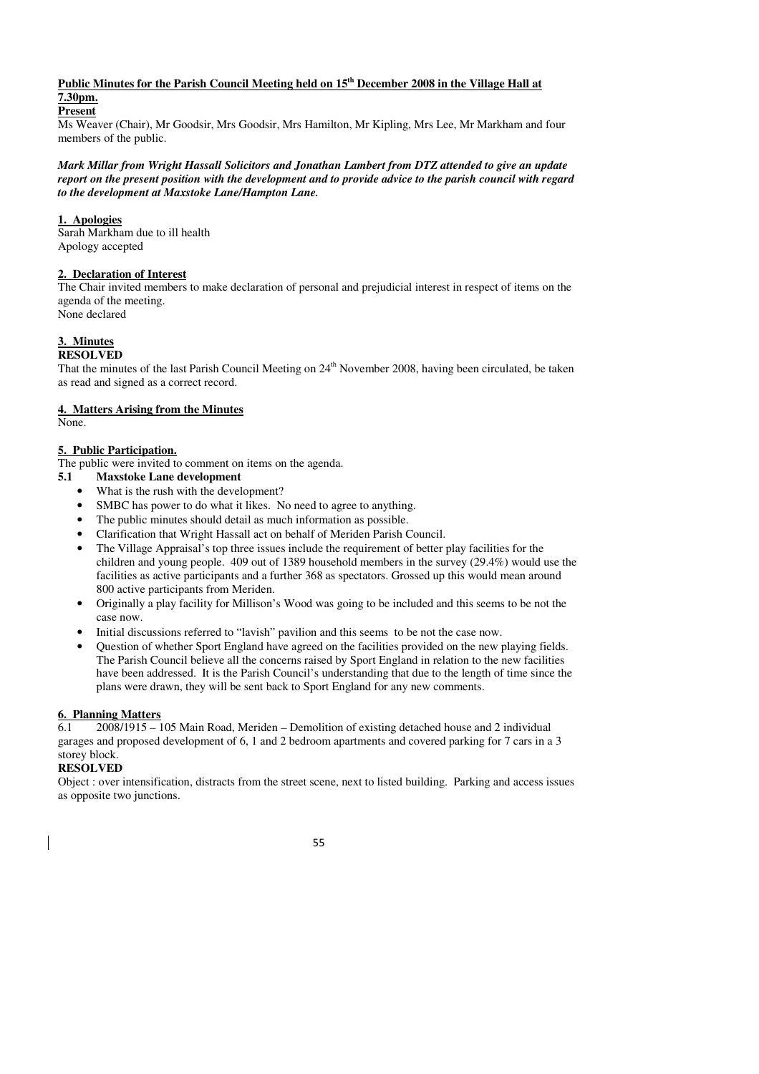#### **Public Minutes for the Parish Council Meeting held on 15th December 2008 in the Village Hall at 7.30pm.**

# **Present**

Ms Weaver (Chair), Mr Goodsir, Mrs Goodsir, Mrs Hamilton, Mr Kipling, Mrs Lee, Mr Markham and four members of the public.

*Mark Millar from Wright Hassall Solicitors and Jonathan Lambert from DTZ attended to give an update report on the present position with the development and to provide advice to the parish council with regard to the development at Maxstoke Lane/Hampton Lane.* 

#### **1. Apologies**

Sarah Markham due to ill health Apology accepted

# **2. Declaration of Interest**

The Chair invited members to make declaration of personal and prejudicial interest in respect of items on the agenda of the meeting. None declared

# **3. Minutes**

# **RESOLVED**

That the minutes of the last Parish Council Meeting on  $24<sup>th</sup>$  November 2008, having been circulated, be taken as read and signed as a correct record.

# **4. Matters Arising from the Minutes**

None.

# **5. Public Participation.**

The public were invited to comment on items on the agenda.

- **5.1 Maxstoke Lane development** 
	- What is the rush with the development?
	- SMBC has power to do what it likes. No need to agree to anything.
	- The public minutes should detail as much information as possible.
	- Clarification that Wright Hassall act on behalf of Meriden Parish Council.
	- The Village Appraisal's top three issues include the requirement of better play facilities for the children and young people. 409 out of 1389 household members in the survey (29.4%) would use the facilities as active participants and a further 368 as spectators. Grossed up this would mean around 800 active participants from Meriden.
	- Originally a play facility for Millison's Wood was going to be included and this seems to be not the case now.
	- Initial discussions referred to "lavish" pavilion and this seems to be not the case now.
	- Question of whether Sport England have agreed on the facilities provided on the new playing fields. The Parish Council believe all the concerns raised by Sport England in relation to the new facilities have been addressed. It is the Parish Council's understanding that due to the length of time since the plans were drawn, they will be sent back to Sport England for any new comments.

#### **6. Planning Matters**

6.1 2008/1915 – 105 Main Road, Meriden – Demolition of existing detached house and 2 individual garages and proposed development of 6, 1 and 2 bedroom apartments and covered parking for 7 cars in a 3 storey block.

#### **RESOLVED**

Object : over intensification, distracts from the street scene, next to listed building. Parking and access issues as opposite two junctions.

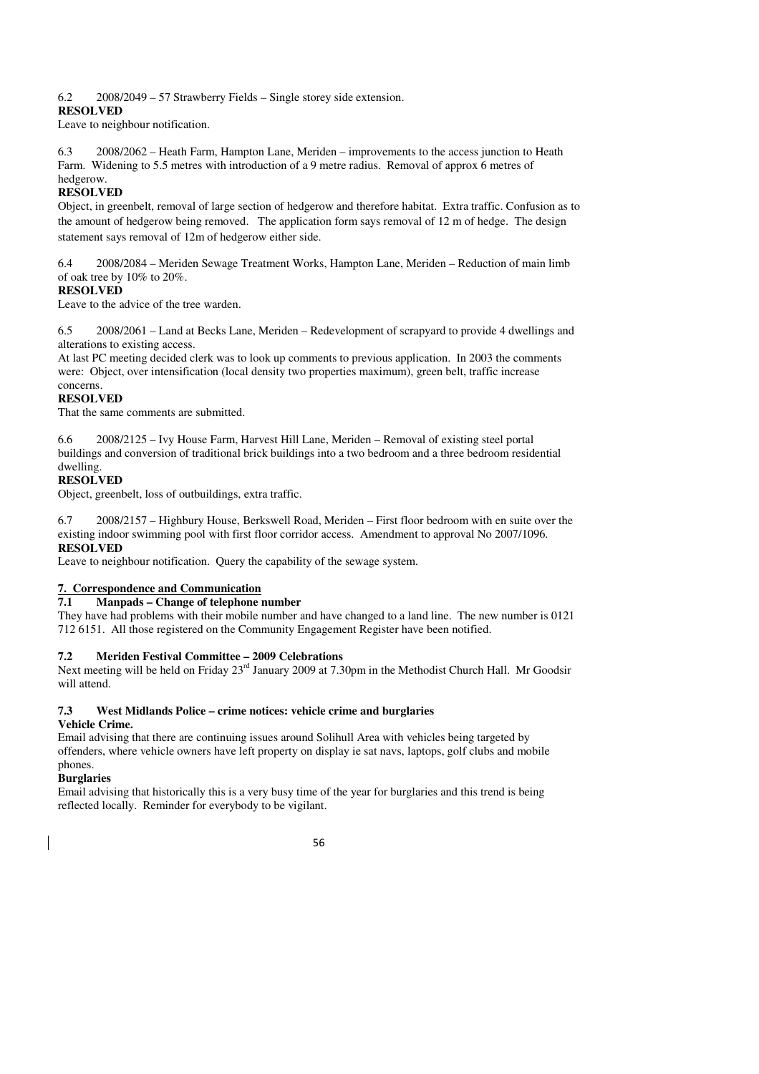#### 6.2 2008/2049 – 57 Strawberry Fields – Single storey side extension.

#### **RESOLVED**

Leave to neighbour notification.

6.3 2008/2062 – Heath Farm, Hampton Lane, Meriden – improvements to the access junction to Heath Farm. Widening to 5.5 metres with introduction of a 9 metre radius. Removal of approx 6 metres of hedgerow.

# **RESOLVED**

Object, in greenbelt, removal of large section of hedgerow and therefore habitat. Extra traffic. Confusion as to the amount of hedgerow being removed. The application form says removal of 12 m of hedge. The design statement says removal of 12m of hedgerow either side.

6.4 2008/2084 – Meriden Sewage Treatment Works, Hampton Lane, Meriden – Reduction of main limb of oak tree by 10% to 20%.

# **RESOLVED**

Leave to the advice of the tree warden.

6.5 2008/2061 – Land at Becks Lane, Meriden – Redevelopment of scrapyard to provide 4 dwellings and alterations to existing access.

At last PC meeting decided clerk was to look up comments to previous application. In 2003 the comments were: Object, over intensification (local density two properties maximum), green belt, traffic increase concerns.

# **RESOLVED**

That the same comments are submitted.

6.6 2008/2125 – Ivy House Farm, Harvest Hill Lane, Meriden – Removal of existing steel portal buildings and conversion of traditional brick buildings into a two bedroom and a three bedroom residential dwelling.

# **RESOLVED**

Object, greenbelt, loss of outbuildings, extra traffic.

6.7 2008/2157 – Highbury House, Berkswell Road, Meriden – First floor bedroom with en suite over the existing indoor swimming pool with first floor corridor access. Amendment to approval No 2007/1096. **RESOLVED** 

Leave to neighbour notification. Query the capability of the sewage system.

# **7. Correspondence and Communication**

#### **7.1 Manpads – Change of telephone number**

They have had problems with their mobile number and have changed to a land line. The new number is 0121 712 6151. All those registered on the Community Engagement Register have been notified.

# **7.2 Meriden Festival Committee – 2009 Celebrations**

Next meeting will be held on Friday 23<sup>rd</sup> January 2009 at 7.30pm in the Methodist Church Hall. Mr Goodsir will attend.

# **7.3 West Midlands Police – crime notices: vehicle crime and burglaries**

# **Vehicle Crime.**

Email advising that there are continuing issues around Solihull Area with vehicles being targeted by offenders, where vehicle owners have left property on display ie sat navs, laptops, golf clubs and mobile phones.

# **Burglaries**

Email advising that historically this is a very busy time of the year for burglaries and this trend is being reflected locally. Reminder for everybody to be vigilant.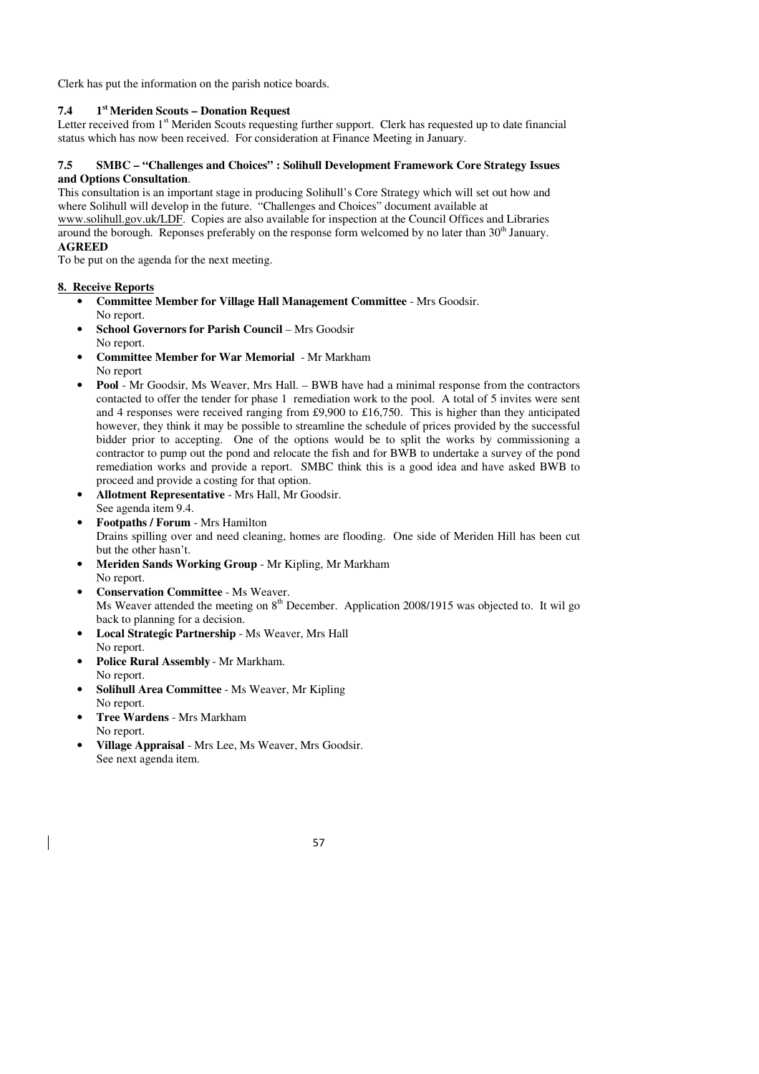Clerk has put the information on the parish notice boards.

#### **7.4 1st Meriden Scouts – Donation Request**

Letter received from 1<sup>st</sup> Meriden Scouts requesting further support. Clerk has requested up to date financial status which has now been received. For consideration at Finance Meeting in January.

#### **7.5 SMBC – "Challenges and Choices" : Solihull Development Framework Core Strategy Issues and Options Consultation**.

This consultation is an important stage in producing Solihull's Core Strategy which will set out how and where Solihull will develop in the future. "Challenges and Choices" document available at www.solihull.gov.uk/LDF. Copies are also available for inspection at the Council Offices and Libraries

around the borough. Reponses preferably on the response form welcomed by no later than 30<sup>th</sup> January. **AGREED** 

To be put on the agenda for the next meeting.

# **8. Receive Reports**

- **Committee Member for Village Hall Management Committee** Mrs Goodsir. No report.
- **School Governors for Parish Council** Mrs Goodsir No report.
- **Committee Member for War Memorial** Mr Markham No report
- **Pool** Mr Goodsir, Ms Weaver, Mrs Hall. BWB have had a minimal response from the contractors contacted to offer the tender for phase 1 remediation work to the pool. A total of 5 invites were sent and 4 responses were received ranging from £9,900 to £16,750. This is higher than they anticipated however, they think it may be possible to streamline the schedule of prices provided by the successful bidder prior to accepting. One of the options would be to split the works by commissioning a contractor to pump out the pond and relocate the fish and for BWB to undertake a survey of the pond remediation works and provide a report. SMBC think this is a good idea and have asked BWB to proceed and provide a costing for that option.
- **Allotment Representative** Mrs Hall, Mr Goodsir.
- See agenda item 9.4. • **Footpaths / Forum** - Mrs Hamilton Drains spilling over and need cleaning, homes are flooding. One side of Meriden Hill has been cut but the other hasn't.
- **Meriden Sands Working Group** Mr Kipling, Mr Markham No report.
- **Conservation Committee** Ms Weaver. Ms Weaver attended the meeting on  $8<sup>th</sup>$  December. Application 2008/1915 was objected to. It wil go back to planning for a decision.
- **Local Strategic Partnership** Ms Weaver, Mrs Hall No report.
- **Police Rural Assembly** Mr Markham. No report.
- **Solihull Area Committee** Ms Weaver, Mr Kipling No report.
- **Tree Wardens** Mrs Markham No report.
- **Village Appraisal** Mrs Lee, Ms Weaver, Mrs Goodsir. See next agenda item.

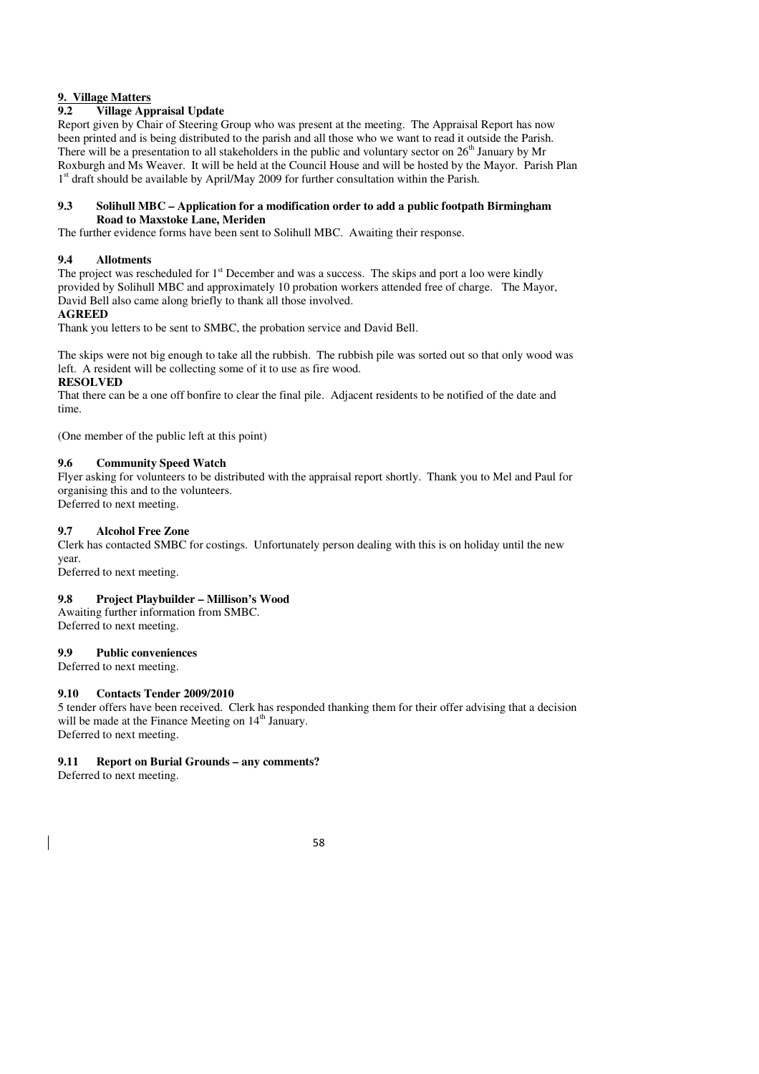# **9. Village Matters**

# **9.2 Village Appraisal Update**

Report given by Chair of Steering Group who was present at the meeting. The Appraisal Report has now been printed and is being distributed to the parish and all those who we want to read it outside the Parish. There will be a presentation to all stakeholders in the public and voluntary sector on  $26<sup>th</sup>$  January by Mr Roxburgh and Ms Weaver. It will be held at the Council House and will be hosted by the Mayor. Parish Plan 1<sup>st</sup> draft should be available by April/May 2009 for further consultation within the Parish.

#### **9.3 Solihull MBC – Application for a modification order to add a public footpath Birmingham Road to Maxstoke Lane, Meriden**

The further evidence forms have been sent to Solihull MBC. Awaiting their response.

# **9.4 Allotments**

The project was rescheduled for  $1<sup>st</sup>$  December and was a success. The skips and port a loo were kindly provided by Solihull MBC and approximately 10 probation workers attended free of charge. The Mayor, David Bell also came along briefly to thank all those involved.

#### **AGREED**

Thank you letters to be sent to SMBC, the probation service and David Bell.

The skips were not big enough to take all the rubbish. The rubbish pile was sorted out so that only wood was left. A resident will be collecting some of it to use as fire wood.

#### **RESOLVED**

That there can be a one off bonfire to clear the final pile. Adjacent residents to be notified of the date and time.

(One member of the public left at this point)

#### **9.6 Community Speed Watch**

Flyer asking for volunteers to be distributed with the appraisal report shortly. Thank you to Mel and Paul for organising this and to the volunteers. Deferred to next meeting.

#### **9.7 Alcohol Free Zone**

Clerk has contacted SMBC for costings. Unfortunately person dealing with this is on holiday until the new year.

Deferred to next meeting.

# **9.8 Project Playbuilder – Millison's Wood**

Awaiting further information from SMBC. Deferred to next meeting.

#### **9.9 Public conveniences**

Deferred to next meeting.

#### **9.10 Contacts Tender 2009/2010**

5 tender offers have been received. Clerk has responded thanking them for their offer advising that a decision will be made at the Finance Meeting on  $14<sup>th</sup>$  January. Deferred to next meeting.

#### **9.11 Report on Burial Grounds – any comments?**

Deferred to next meeting.

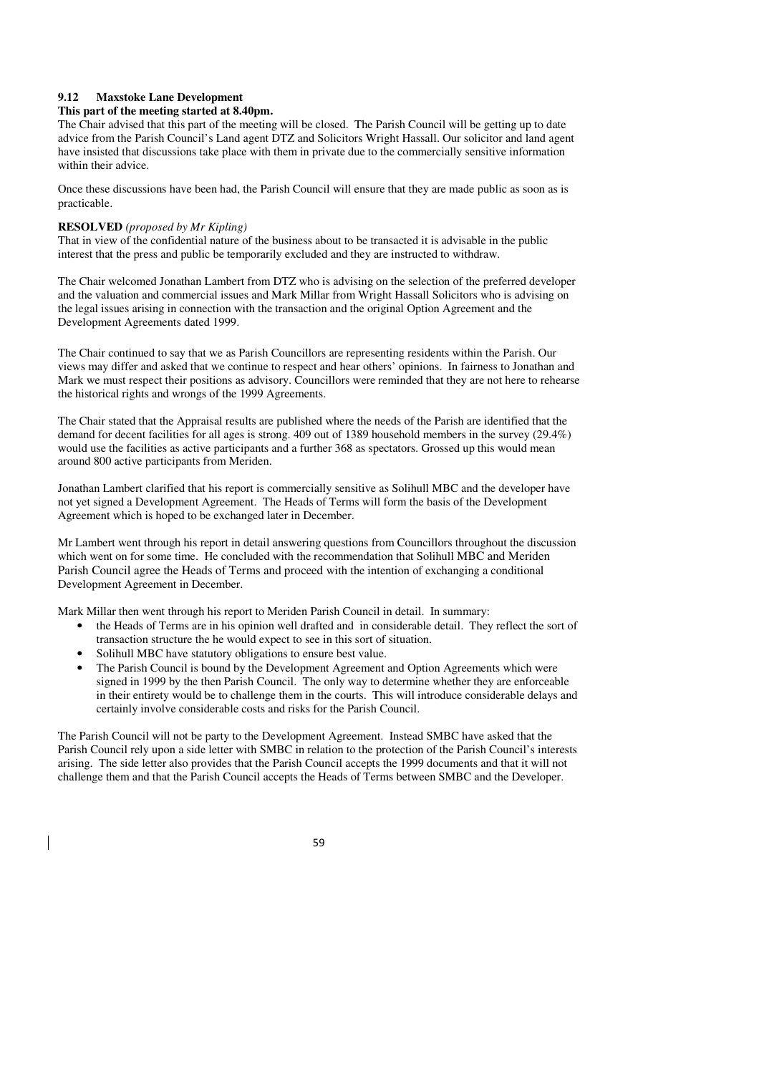#### **9.12 Maxstoke Lane Development**

#### **This part of the meeting started at 8.40pm.**

The Chair advised that this part of the meeting will be closed. The Parish Council will be getting up to date advice from the Parish Council's Land agent DTZ and Solicitors Wright Hassall. Our solicitor and land agent have insisted that discussions take place with them in private due to the commercially sensitive information within their advice.

Once these discussions have been had, the Parish Council will ensure that they are made public as soon as is practicable.

#### **RESOLVED** *(proposed by Mr Kipling)*

That in view of the confidential nature of the business about to be transacted it is advisable in the public interest that the press and public be temporarily excluded and they are instructed to withdraw.

The Chair welcomed Jonathan Lambert from DTZ who is advising on the selection of the preferred developer and the valuation and commercial issues and Mark Millar from Wright Hassall Solicitors who is advising on the legal issues arising in connection with the transaction and the original Option Agreement and the Development Agreements dated 1999.

The Chair continued to say that we as Parish Councillors are representing residents within the Parish. Our views may differ and asked that we continue to respect and hear others' opinions. In fairness to Jonathan and Mark we must respect their positions as advisory. Councillors were reminded that they are not here to rehearse the historical rights and wrongs of the 1999 Agreements.

The Chair stated that the Appraisal results are published where the needs of the Parish are identified that the demand for decent facilities for all ages is strong. 409 out of 1389 household members in the survey (29.4%) would use the facilities as active participants and a further 368 as spectators. Grossed up this would mean around 800 active participants from Meriden.

Jonathan Lambert clarified that his report is commercially sensitive as Solihull MBC and the developer have not yet signed a Development Agreement. The Heads of Terms will form the basis of the Development Agreement which is hoped to be exchanged later in December.

Mr Lambert went through his report in detail answering questions from Councillors throughout the discussion which went on for some time. He concluded with the recommendation that Solihull MBC and Meriden Parish Council agree the Heads of Terms and proceed with the intention of exchanging a conditional Development Agreement in December.

Mark Millar then went through his report to Meriden Parish Council in detail. In summary:

- the Heads of Terms are in his opinion well drafted and in considerable detail. They reflect the sort of transaction structure the he would expect to see in this sort of situation.
- Solihull MBC have statutory obligations to ensure best value.
- The Parish Council is bound by the Development Agreement and Option Agreements which were signed in 1999 by the then Parish Council. The only way to determine whether they are enforceable in their entirety would be to challenge them in the courts. This will introduce considerable delays and certainly involve considerable costs and risks for the Parish Council.

The Parish Council will not be party to the Development Agreement. Instead SMBC have asked that the Parish Council rely upon a side letter with SMBC in relation to the protection of the Parish Council's interests arising. The side letter also provides that the Parish Council accepts the 1999 documents and that it will not challenge them and that the Parish Council accepts the Heads of Terms between SMBC and the Developer.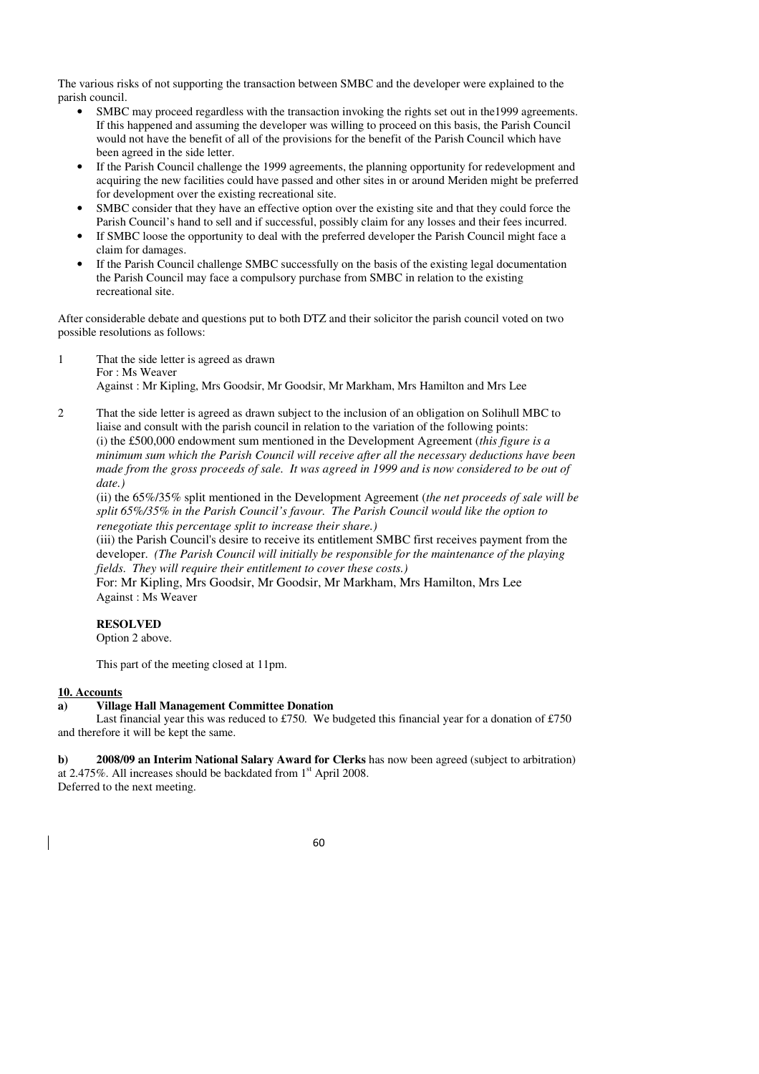The various risks of not supporting the transaction between SMBC and the developer were explained to the parish council.

- SMBC may proceed regardless with the transaction invoking the rights set out in the 1999 agreements. If this happened and assuming the developer was willing to proceed on this basis, the Parish Council would not have the benefit of all of the provisions for the benefit of the Parish Council which have been agreed in the side letter.
- If the Parish Council challenge the 1999 agreements, the planning opportunity for redevelopment and acquiring the new facilities could have passed and other sites in or around Meriden might be preferred for development over the existing recreational site.
- SMBC consider that they have an effective option over the existing site and that they could force the Parish Council's hand to sell and if successful, possibly claim for any losses and their fees incurred.
- If SMBC loose the opportunity to deal with the preferred developer the Parish Council might face a claim for damages.
- If the Parish Council challenge SMBC successfully on the basis of the existing legal documentation the Parish Council may face a compulsory purchase from SMBC in relation to the existing recreational site.

After considerable debate and questions put to both DTZ and their solicitor the parish council voted on two possible resolutions as follows:

- 1 That the side letter is agreed as drawn For : Ms Weaver Against : Mr Kipling, Mrs Goodsir, Mr Goodsir, Mr Markham, Mrs Hamilton and Mrs Lee
- 2 That the side letter is agreed as drawn subject to the inclusion of an obligation on Solihull MBC to liaise and consult with the parish council in relation to the variation of the following points: (i) the £500,000 endowment sum mentioned in the Development Agreement (*this figure is a minimum sum which the Parish Council will receive after all the necessary deductions have been made from the gross proceeds of sale. It was agreed in 1999 and is now considered to be out of date.)*

(ii) the 65%/35% split mentioned in the Development Agreement (*the net proceeds of sale will be split 65%/35% in the Parish Council's favour. The Parish Council would like the option to renegotiate this percentage split to increase their share.)* 

(iii) the Parish Council's desire to receive its entitlement SMBC first receives payment from the developer. *(The Parish Council will initially be responsible for the maintenance of the playing fields. They will require their entitlement to cover these costs.)* 

For: Mr Kipling, Mrs Goodsir, Mr Goodsir, Mr Markham, Mrs Hamilton, Mrs Lee Against : Ms Weaver

# **RESOLVED**

Option 2 above.

This part of the meeting closed at 11pm.

#### **10. Accounts**

# **a) Village Hall Management Committee Donation**

Last financial year this was reduced to £750. We budgeted this financial year for a donation of £750 and therefore it will be kept the same.

**b) 2008/09 an Interim National Salary Award for Clerks** has now been agreed (subject to arbitration) at 2.475%. All increases should be backdated from 1<sup>st</sup> April 2008. Deferred to the next meeting.